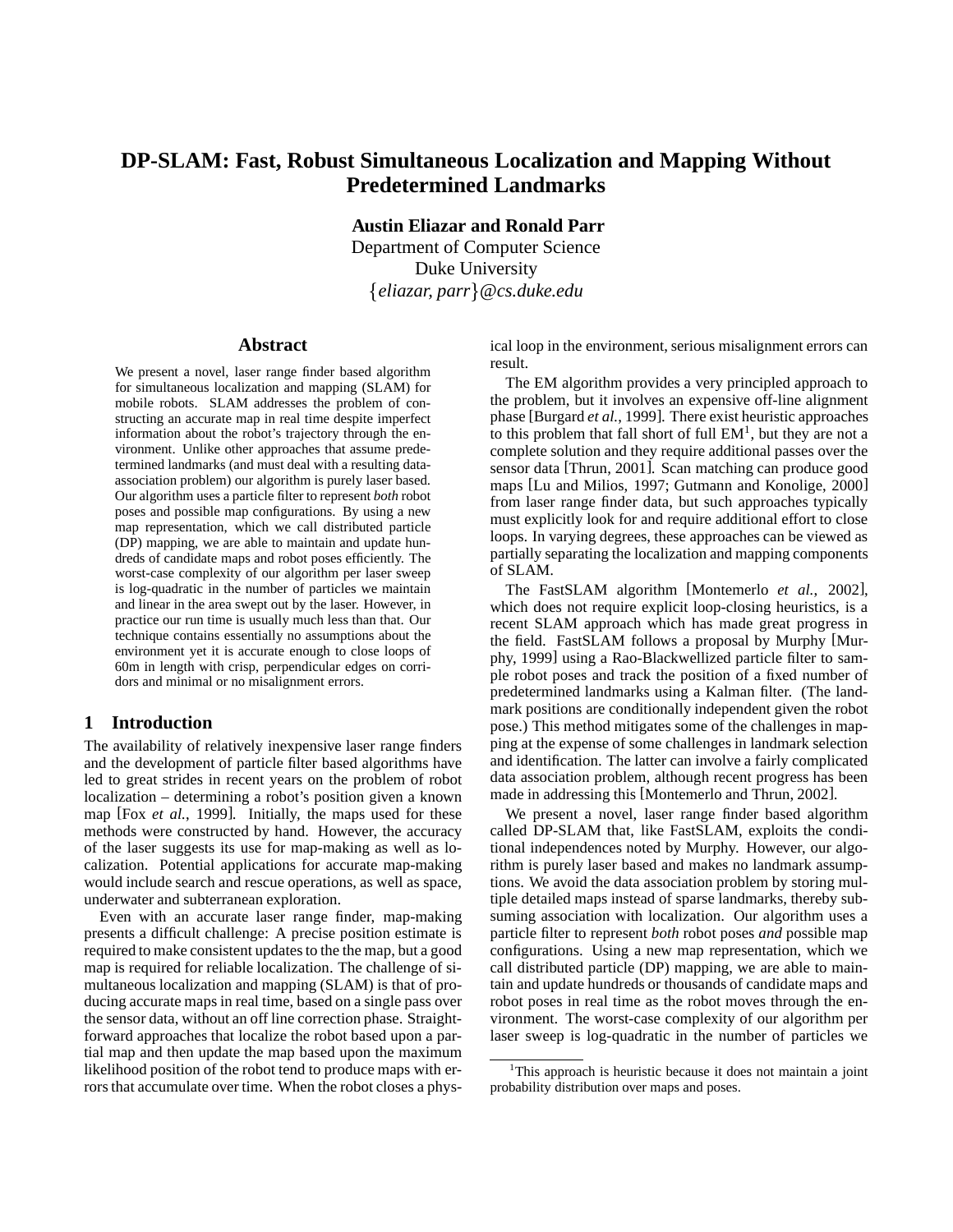# **DP-SLAM: Fast, Robust Simultaneous Localization and Mapping Without Predetermined Landmarks**

**Austin Eliazar and Ronald Parr**

Department of Computer Science Duke University *eliazar, parr @cs.duke.edu*

### **Abstract**

We present a novel, laser range finder based algorithm for simultaneous localization and mapping (SLAM) for mobile robots. SLAM addresses the problem of constructing an accurate map in real time despite imperfect information about the robot's trajectory through the environment. Unlike other approaches that assume predetermined landmarks (and must deal with a resulting dataassociation problem) our algorithm is purely laser based. Our algorithm uses a particle filter to represent *both* robot poses and possible map configurations. By using a new map representation, which we call distributed particle (DP) mapping, we are able to maintain and update hundreds of candidate maps and robot poses efficiently. The worst-case complexity of our algorithm per laser sweep is log-quadratic in the number of particles we maintain and linear in the area swept out by the laser. However, in practice our run time is usually much less than that. Our technique contains essentially no assumptions about the environment yet it is accurate enough to close loops of 60m in length with crisp, perpendicular edges on corridors and minimal or no misalignment errors.

## **1 Introduction**

The availability of relatively inexpensive laser range finders and the development of particle filter based algorithms have led to great strides in recent years on the problem of robot localization – determining a robot's position given a known map [Fox *et al.*, 1999]. Initially, the maps used for these methods were constructed by hand. However, the accuracy of the laser suggests its use for map-making as well as localization. Potential applications for accurate map-making would include search and rescue operations, as well as space, underwater and subterranean exploration.

Even with an accurate laser range finder, map-making presents a difficult challenge: A precise position estimate is required to make consistent updates to the the map, but a good map is required for reliable localization. The challenge of simultaneous localization and mapping (SLAM) is that of producing accurate maps in real time, based on a single pass over the sensor data, without an off line correction phase. Straightforward approaches that localize the robot based upon a partial map and then update the map based upon the maximum likelihood position of the robot tend to produce maps with errors that accumulate over time. When the robot closes a physical loop in the environment, serious misalignment errors can result.

The EM algorithm provides a very principled approach to the problem, but it involves an expensive off-line alignment phase [Burgard *et al.*, 1999]. There exist heuristic approaches to this problem that fall short of full  $EM<sup>1</sup>$ , but they are not a complete solution and they require additional passes over the sensor data [Thrun, 2001]. Scan matching can produce good maps [Lu and Milios, 1997; Gutmann and Konolige, 2000] from laser range finder data, but such approaches typically must explicitly look for and require additional effort to close loops. In varying degrees, these approaches can be viewed as partially separating the localization and mapping components of SLAM.

The FastSLAM algorithm [Montemerlo *et al.*, 2002], which does not require explicit loop-closing heuristics, is a recent SLAM approach which has made great progress in the field. FastSLAM follows a proposal by Murphy [Murphy, 1999] using a Rao-Blackwellized particle filter to sample robot poses and track the position of a fixed number of predetermined landmarks using a Kalman filter. (The landmark positions are conditionally independent given the robot pose.) This method mitigates some of the challenges in mapping at the expense of some challenges in landmark selection and identification. The latter can involve a fairly complicated data association problem, although recent progress has been made in addressing this [Montemerlo and Thrun, 2002].

We present a novel, laser range finder based algorithm called DP-SLAM that, like FastSLAM, exploits the conditional independences noted by Murphy. However, our algorithm is purely laser based and makes no landmark assumptions. We avoid the data association problem by storing multiple detailed maps instead of sparse landmarks, thereby subsuming association with localization. Our algorithm uses a particle filter to represent *both* robot poses *and* possible map configurations. Using a new map representation, which we call distributed particle (DP) mapping, we are able to maintain and update hundreds or thousands of candidate maps and robot poses in real time as the robot moves through the environment. The worst-case complexity of our algorithm per laser sweep is log-quadratic in the number of particles we

<sup>&</sup>lt;sup>1</sup>This approach is heuristic because it does not maintain a joint probability distribution over maps and poses.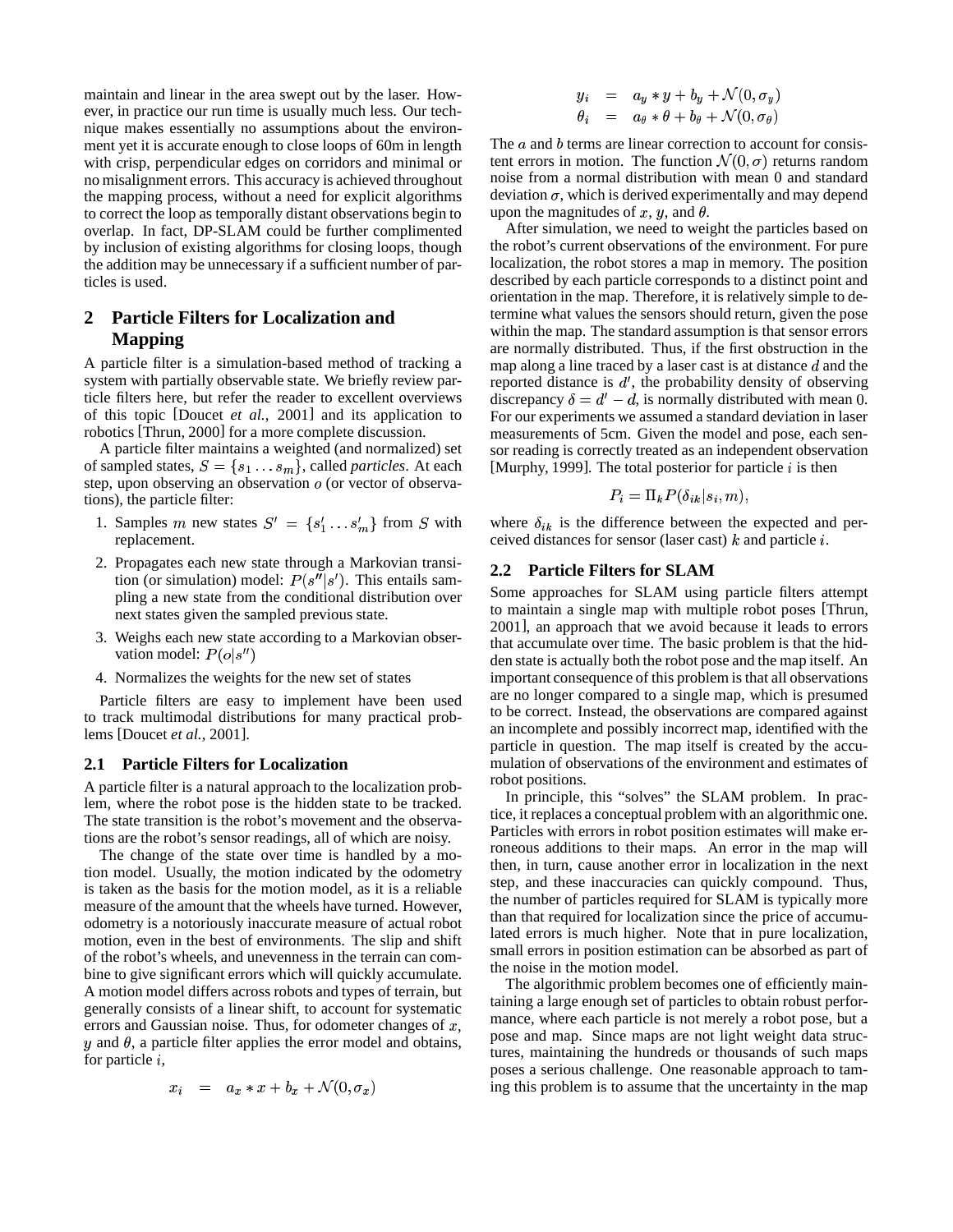maintain and linear in the area swept out by the laser. However, in practice our run time is usually much less. Our technique makes essentially no assumptions about the environment yet it is accurate enough to close loops of 60m in length with crisp, perpendicular edges on corridors and minimal or no misalignment errors. This accuracy is achieved throughout the mapping process, without a need for explicit algorithms to correct the loop as temporally distant observations begin to overlap. In fact, DP-SLAM could be further complimented by inclusion of existing algorithms for closing loops, though the addition may be unnecessary if a sufficient number of particles is used.

# **2 Particle Filters for Localization and Mapping**

A particle filter is a simulation-based method of tracking a system with partially observable state. We briefly review particle filters here, but refer the reader to excellent overviews of this topic [Doucet *et al.*, 2001] and its application to robotics [Thrun, 2000] for a more complete discussion.

A particle filter maintains a weighted (and normalized) set of sampled states,  $S = \{s_1 \dots s_m\}$ , called *particles*. At each step, upon observing an observation  $o$  (or vector of observations), the particle filter:

- 1. Samples m new states  $S' = \{s'_1 \dots s'_m\}$  from S with replacement.
- 2. Propagates each new state through a Markovian transition (or simulation) model:  $P(s''|s')$ . This entails sampling a new state from the conditional distribution over next states given the sampled previous state.
- 3. Weighs each new state according to a Markovian observation model:  $P(o|s'')$
- 4. Normalizes the weights for the new set of states

Particle filters are easy to implement have been used to track multimodal distributions for many practical problems [Doucet *et al.*, 2001].

### **2.1 Particle Filters for Localization**

A particle filter is a natural approach to the localization problem, where the robot pose is the hidden state to be tracked. The state transition is the robot's movement and the observations are the robot's sensor readings, all of which are noisy.

The change of the state over time is handled by a motion model. Usually, the motion indicated by the odometry is taken as the basis for the motion model, as it is a reliable measure of the amount that the wheels have turned. However, odometry is a notoriously inaccurate measure of actual robot motion, even in the best of environments. The slip and shift of the robot's wheels, and unevenness in the terrain can combine to give significant errors which will quickly accumulate. A motion model differs across robots and types of terrain, but generally consists of a linear shift, to account for systematic errors and Gaussian noise. Thus, for odometer changes of  $x$ ,  $y$  and  $\theta$ , a particle filter applies the error model and obtains, for particle  $i$ ,

$$
x_i = a_x * x + b_x + \mathcal{N}(0, \sigma_x)
$$

$$
y_i = a_y * y + b_y + \mathcal{N}(0, \sigma_y)
$$
  
\n
$$
\theta_i = a_\theta * \theta + b_\theta + \mathcal{N}(0, \sigma_\theta)
$$

The  $a$  and  $b$  terms are linear correction to account for consistent errors in motion. The function  $\mathcal{N}(0, \sigma)$  returns random noise from a normal distribution with mean 0 and standard deviation  $\sigma$ , which is derived experimentally and may depend upon the magnitudes of  $x, y$ , and  $\theta$ .

After simulation, we need to weight the particles based on the robot's current observations of the environment. For pure localization, the robot stores a map in memory. The position described by each particle corresponds to a distinct point and orientation in the map. Therefore, it is relatively simple to determine what values the sensors should return, given the pose within the map. The standard assumption is that sensor errors are normally distributed. Thus, if the first obstruction in the map along a line traced by a laser cast is at distance  $d$  and the reported distance is  $d'$ , the probability density of observing discrepancy  $\delta = d' - d$ , is normally distributed with mean 0. For our experiments we assumed a standard deviation in laser measurements of 5cm. Given the model and pose, each sensor reading is correctly treated as an independent observation [Murphy, 1999]. The total posterior for particle  $i$  is then

$$
P_i = \Pi_k P(\delta_{ik}|s_i, m),
$$

where  $\delta_{ik}$  is the difference between the expected and perceived distances for sensor (laser cast)  $k$  and particle  $i$ .

# **2.2 Particle Filters for SLAM**

Some approaches for SLAM using particle filters attempt to maintain a single map with multiple robot poses [Thrun, 2001], an approach that we avoid because it leads to errors that accumulate over time. The basic problem is that the hidden state is actually both the robot pose and the map itself. An important consequence of this problem is that all observations are no longer compared to a single map, which is presumed to be correct. Instead, the observations are compared against an incomplete and possibly incorrect map, identified with the particle in question. The map itself is created by the accumulation of observations of the environment and estimates of robot positions.

In principle, this "solves" the SLAM problem. In practice, it replaces a conceptual problem with an algorithmic one. Particles with errors in robot position estimates will make erroneous additions to their maps. An error in the map will then, in turn, cause another error in localization in the next step, and these inaccuracies can quickly compound. Thus, the number of particles required for SLAM is typically more than that required for localization since the price of accumulated errors is much higher. Note that in pure localization, small errors in position estimation can be absorbed as part of the noise in the motion model.

The algorithmic problem becomes one of efficiently maintaining a large enough set of particles to obtain robust performance, where each particle is not merely a robot pose, but a pose and map. Since maps are not light weight data structures, maintaining the hundreds or thousands of such maps poses a serious challenge. One reasonable approach to taming this problem is to assume that the uncertainty in the map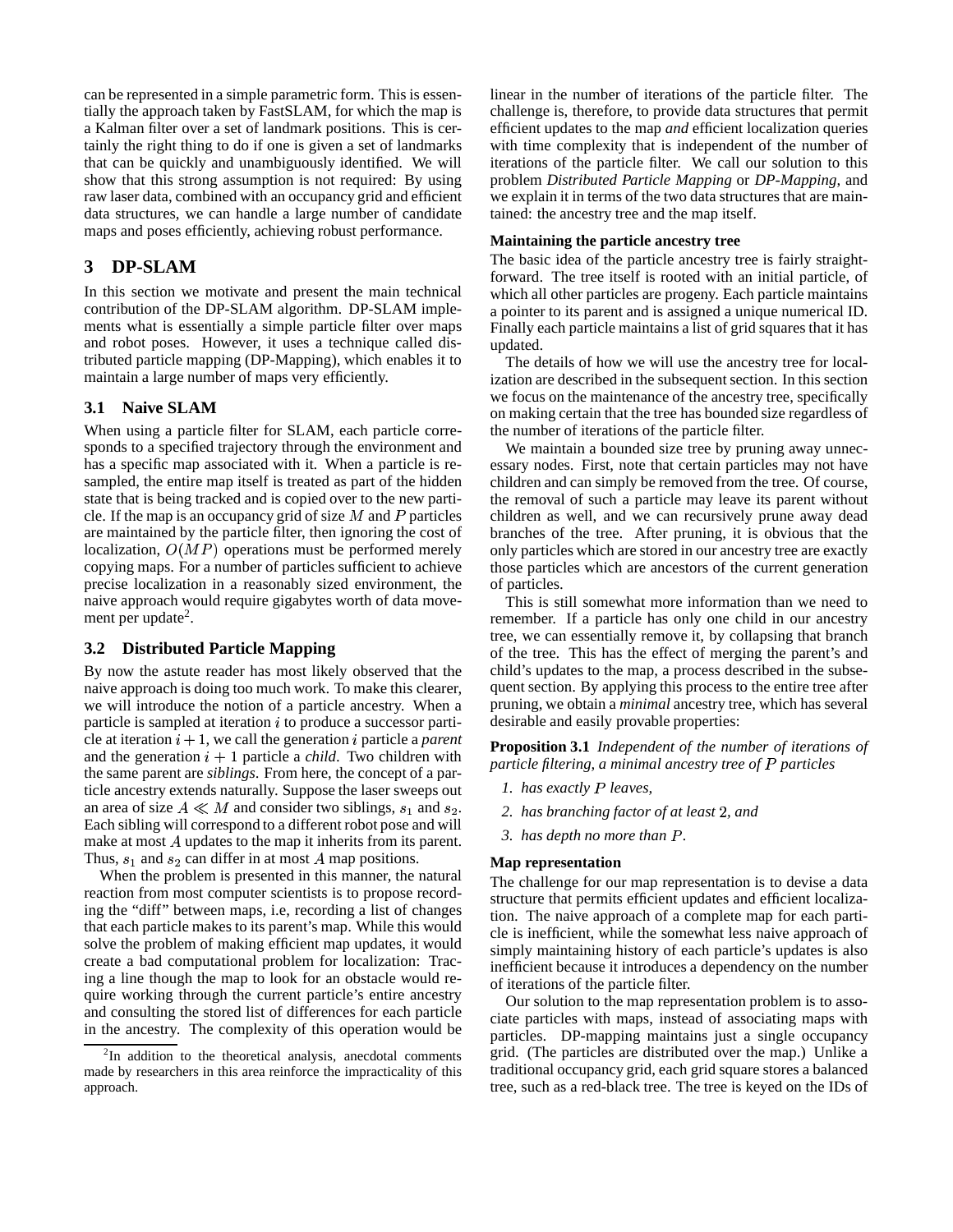can be represented in a simple parametric form. This is essentially the approach taken by FastSLAM, for which the map is a Kalman filter over a set of landmark positions. This is certainly the right thing to do if one is given a set of landmarks that can be quickly and unambiguously identified. We will show that this strong assumption is not required: By using raw laser data, combined with an occupancy grid and efficient data structures, we can handle a large number of candidate maps and poses efficiently, achieving robust performance.

# **3 DP-SLAM**

In this section we motivate and present the main technical contribution of the DP-SLAM algorithm. DP-SLAM implements what is essentially a simple particle filter over maps and robot poses. However, it uses a technique called distributed particle mapping (DP-Mapping), which enables it to maintain a large number of maps very efficiently.

## **3.1 Naive SLAM**

When using a particle filter for SLAM, each particle corresponds to a specified trajectory through the environment and has a specific map associated with it. When a particle is resampled, the entire map itself is treated as part of the hidden state that is being tracked and is copied over to the new particle. If the map is an occupancy grid of size  $M$  and  $P$  particles are maintained by the particle filter, then ignoring the cost of localization,  $O(MP)$  operations must be performed merely copying maps. For a number of particles sufficient to achieve precise localization in a reasonably sized environment, the naive approach would require gigabytes worth of data movement per update<sup>2</sup>.

# **3.2 Distributed Particle Mapping**

By now the astute reader has most likely observed that the naive approach is doing too much work. To make this clearer, we will introduce the notion of a particle ancestry. When a particle is sampled at iteration  $i$  to produce a successor particle at iteration  $i + 1$ , we call the generation  $i$  particle a *parent* and the generation  $i + 1$  particle a *child*. Two children with the same parent are *siblings*. From here, the concept of a particle ancestry extends naturally. Suppose the laser sweeps out an area of size  $A \ll M$  and consider two siblings,  $s_1$  and  $s_2$ . Each sibling will correspond to a different robot pose and will make at most  $A$  updates to the map it inherits from its parent. Thus,  $s_1$  and  $s_2$  can differ in at most A map positions.

When the problem is presented in this manner, the natural reaction from most computer scientists is to propose recording the "diff" between maps, i.e, recording a list of changes that each particle makes to its parent's map. While this would solve the problem of making efficient map updates, it would create a bad computational problem for localization: Tracing a line though the map to look for an obstacle would require working through the current particle's entire ancestry and consulting the stored list of differences for each particle in the ancestry. The complexity of this operation would be linear in the number of iterations of the particle filter. The challenge is, therefore, to provide data structures that permit efficient updates to the map *and* efficient localization queries with time complexity that is independent of the number of iterations of the particle filter. We call our solution to this problem *Distributed Particle Mapping* or *DP-Mapping*, and we explain it in terms of the two data structures that are maintained: the ancestry tree and the map itself.

#### **Maintaining the particle ancestry tree**

The basic idea of the particle ancestry tree is fairly straightforward. The tree itself is rooted with an initial particle, of which all other particles are progeny. Each particle maintains a pointer to its parent and is assigned a unique numerical ID. Finally each particle maintains a list of grid squares that it has updated.

The details of how we will use the ancestry tree for localization are described in the subsequent section. In this section we focus on the maintenance of the ancestry tree, specifically on making certain that the tree has bounded size regardless of the number of iterations of the particle filter.

We maintain a bounded size tree by pruning away unnecessary nodes. First, note that certain particles may not have children and can simply be removed from the tree. Of course, the removal of such a particle may leave its parent without children as well, and we can recursively prune away dead branches of the tree. After pruning, it is obvious that the only particles which are stored in our ancestry tree are exactly those particles which are ancestors of the current generation of particles.

This is still somewhat more information than we need to remember. If a particle has only one child in our ancestry tree, we can essentially remove it, by collapsing that branch of the tree. This has the effect of merging the parent's and child's updates to the map, a process described in the subsequent section. By applying this process to the entire tree after pruning, we obtain a *minimal* ancestry tree, which has several desirable and easily provable properties:

**Proposition 3.1** *Independent of the number of iterations of particle filtering, a minimal ancestry tree of particles*

- *1. has exactly leaves,*
- *2. has branching factor of at least , and*
- *3. has depth no more than .*

### **Map representation**

The challenge for our map representation is to devise a data structure that permits efficient updates and efficient localization. The naive approach of a complete map for each particle is inefficient, while the somewhat less naive approach of simply maintaining history of each particle's updates is also inefficient because it introduces a dependency on the number of iterations of the particle filter.

Our solution to the map representation problem is to associate particles with maps, instead of associating maps with particles. DP-mapping maintains just a single occupancy grid. (The particles are distributed over the map.) Unlike a traditional occupancy grid, each grid square stores a balanced tree, such as a red-black tree. The tree is keyed on the IDs of

<sup>&</sup>lt;sup>2</sup>In addition to the theoretical analysis, anecdotal comments made by researchers in this area reinforce the impracticality of this approach.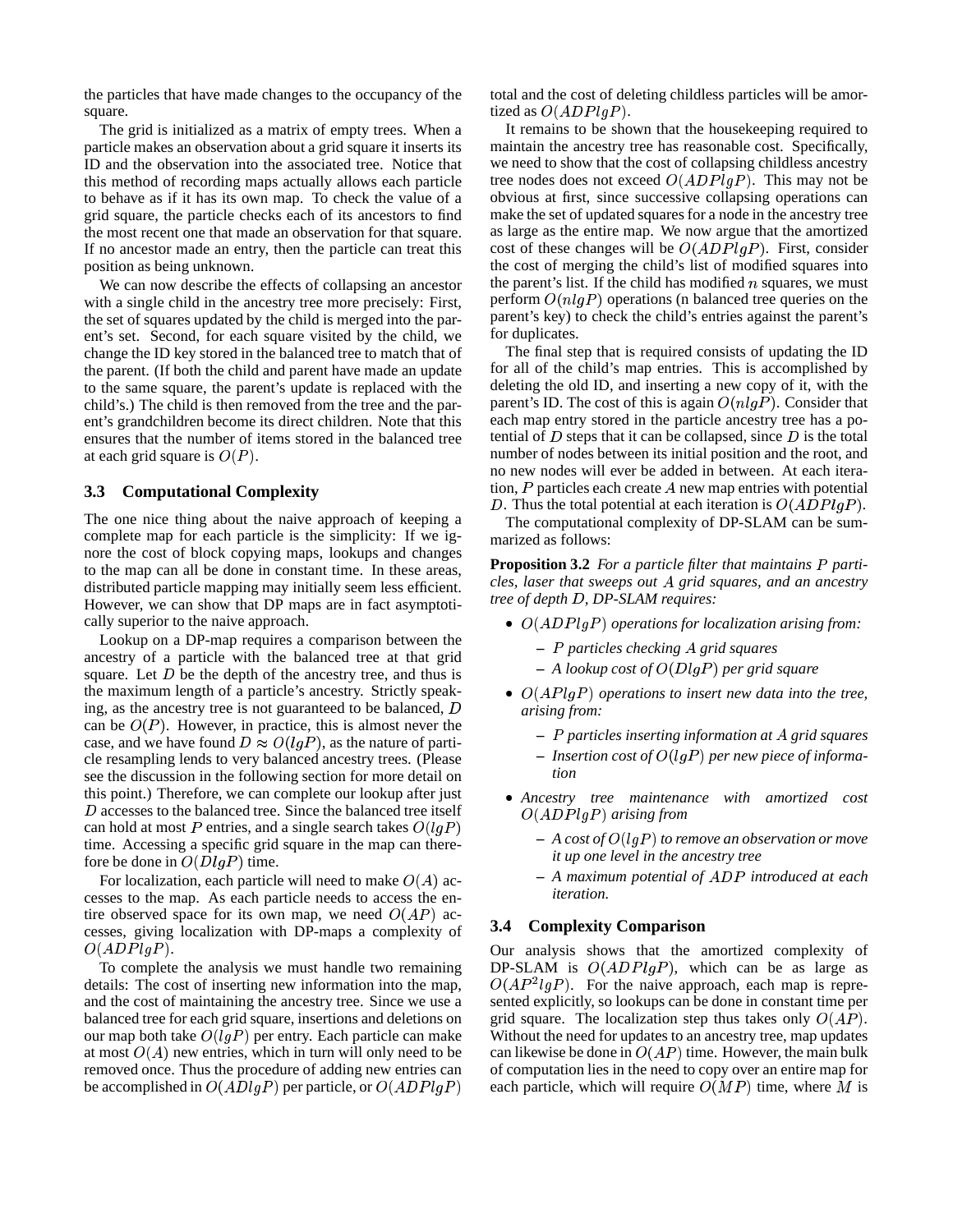the particles that have made changes to the occupancy of the square.

The grid is initialized as a matrix of empty trees. When a particle makes an observation about a grid square it inserts its ID and the observation into the associated tree. Notice that this method of recording maps actually allows each particle to behave as if it has its own map. To check the value of a grid square, the particle checks each of its ancestors to find the most recent one that made an observation for that square. If no ancestor made an entry, then the particle can treat this position as being unknown.

We can now describe the effects of collapsing an ancestor with a single child in the ancestry tree more precisely: First, the set of squares updated by the child is merged into the parent's set. Second, for each square visited by the child, we change the ID key stored in the balanced tree to match that of the parent. (If both the child and parent have made an update to the same square, the parent's update is replaced with the child's.) The child is then removed from the tree and the parent's grandchildren become its direct children. Note that this ensures that the number of items stored in the balanced tree at each grid square is  $O(P)$ .

#### **3.3 Computational Complexity**

The one nice thing about the naive approach of keeping a complete map for each particle is the simplicity: If we ignore the cost of block copying maps, lookups and changes to the map can all be done in constant time. In these areas, distributed particle mapping may initially seem less efficient. However, we can show that DP maps are in fact asymptotically superior to the naive approach.

Lookup on a DP-map requires a comparison between the ancestry of a particle with the balanced tree at that grid square. Let  $D$  be the depth of the ancestry tree, and thus is the maximum length of a particle's ancestry. Strictly speaking, as the ancestry tree is not guaranteed to be balanced, D can be  $O(P)$ . However, in practice, this is almost never the case, and we have found  $D \approx O(lgP)$ , as the nature of particle resampling lends to very balanced ancestry trees. (Please see the discussion in the following section for more detail on this point.) Therefore, we can complete our lookup after just  $D$  accesses to the balanced tree. Since the balanced tree itself can hold at most P entries, and a single search takes  $O(lgP)$ time. Accessing a specific grid square in the map can therefore be done in  $O(DlgP)$  time.

For localization, each particle will need to make  $O(A)$  accesses to the map. As each particle needs to access the entire observed space for its own map, we need  $O(AP)$  accesses, giving localization with DP-maps a complexity of  $O(ADPlgP).$ 

To complete the analysis we must handle two remaining details: The cost of inserting new information into the map, and the cost of maintaining the ancestry tree. Since we use a balanced tree for each grid square, insertions and deletions on our map both take  $O(\lg P)$  per entry. Each particle can make at most  $O(A)$  new entries, which in turn will only need to be removed once. Thus the procedure of adding new entries can be accomplished in  $O(ADlgP)$  per particle, or  $O(ADPlgP)$  (

total and the cost of deleting childless particles will be amortized as  $O(ADPlgP)$ .

It remains to be shown that the housekeeping required to maintain the ancestry tree has reasonable cost. Specifically, we need to show that the cost of collapsing childless ancestry tree nodes does not exceed  $O(ADPIgP)$ . This may not be obvious at first, since successive collapsing operations can make the set of updated squares for a node in the ancestry tree as large as the entire map. We now argue that the amortized cost of these changes will be  $O(ADPIgP)$ . First, consider the cost of merging the child's list of modified squares into the parent's list. If the child has modified  $n$  squares, we must perform  $O(nlg P)$  operations (n balanced tree queries on the parent's key) to check the child's entries against the parent's for duplicates.

The final step that is required consists of updating the ID for all of the child's map entries. This is accomplished by deleting the old ID, and inserting a new copy of it, with the parent's ID. The cost of this is again  $O(nlgP)$ . Consider that each map entry stored in the particle ancestry tree has a potential of  $D$  steps that it can be collapsed, since  $D$  is the total number of nodes between its initial position and the root, and no new nodes will ever be added in between. At each iteration,  $P$  particles each create  $\Lambda$  new map entries with potential D. Thus the total potential at each iteration is  $O(ADPIgP)$ .

The computational complexity of DP-SLAM can be summarized as follows:

**Proposition 3.2** *For a particle filter that maintains particles, laser that sweeps out grid squares, and an ancestry tree of depth D, DP-SLAM requires:* 

- $O(ADPIgP)$  *operations for localization arising from:* 
	- **–** *particles checking grid squares*
	- $-$  *A lookup cost of*  $O(DlgP)$  *per grid square*
- $O(APlgP)$  *operations to insert new data into the tree, arising from:*
	- **–** *particles inserting information at grid squares*
	- $-$  *Insertion cost of*  $O(\lg P)$  *per new piece of information*
- *Ancestry tree maintenance with amortized cost*  $O(ADPlgP)$  arising from
	- $-$  *A cost of*  $O(\lg P)$  *to remove an observation or move it up one level in the ancestry tree*
	- **–** *A maximum potential of introduced at each iteration.*

#### **3.4 Complexity Comparison**

Our analysis shows that the amortized complexity of DP-SLAM is  $O(ADPlgP)$ , which can be as large as  $O(AP^2lgP)$ . For the naive approach, each map is represented explicitly, so lookups can be done in constant time per grid square. The localization step thus takes only  $O(AP)$ . Without the need for updates to an ancestry tree, map updates can likewise be done in  $O(AP)$  time. However, the main bulk of computation lies in the need to copy over an entire map for each particle, which will require  $O(MP)$  time, where M is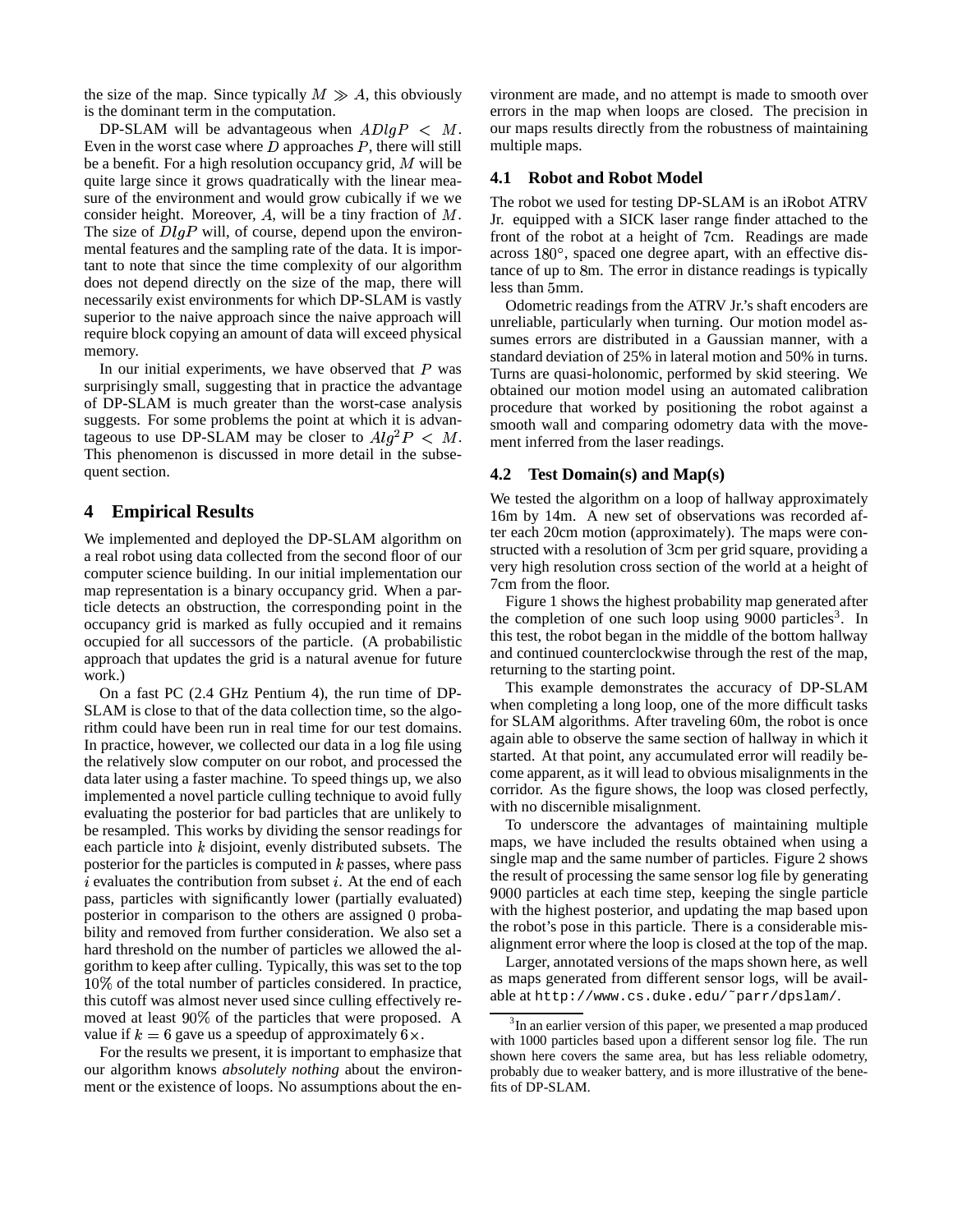the size of the map. Since typically  $M \gg A$ , this obviously is the dominant term in the computation.

DP-SLAM will be advantageous when  $ADlgP$ Even in the worst case where  $D$  approaches  $P$ , there will still be a benefit. For a high resolution occupancy grid,  $M$  will be quite large since it grows quadratically with the linear measure of the environment and would grow cubically if we we consider height. Moreover,  $A$ , will be a tiny fraction of  $M$ . The size of  $DlgP$  will, of course, depend upon the environmental features and the sampling rate of the data. It is important to note that since the time complexity of our algorithm does not depend directly on the size of the map, there will necessarily exist environments for which DP-SLAM is vastly superior to the naive approach since the naive approach will require block copying an amount of data will exceed physical memory.

In our initial experiments, we have observed that  $P$  was surprisingly small, suggesting that in practice the advantage of DP-SLAM is much greater than the worst-case analysis suggests. For some problems the point at which it is advantageous to use DP-SLAM may be closer to  $Alg^2P < M$ This phenomenon is discussed in more detail in the subsequent section.

# **4 Empirical Results**

We implemented and deployed the DP-SLAM algorithm on a real robot using data collected from the second floor of our computer science building. In our initial implementation our map representation is a binary occupancy grid. When a particle detects an obstruction, the corresponding point in the occupancy grid is marked as fully occupied and it remains occupied for all successors of the particle. (A probabilistic approach that updates the grid is a natural avenue for future work.)

On a fast PC (2.4 GHz Pentium 4), the run time of DP-SLAM is close to that of the data collection time, so the algorithm could have been run in real time for our test domains. In practice, however, we collected our data in a log file using the relatively slow computer on our robot, and processed the data later using a faster machine. To speed things up, we also implemented a novel particle culling technique to avoid fully evaluating the posterior for bad particles that are unlikely to be resampled. This works by dividing the sensor readings for each particle into  $k$  disjoint, evenly distributed subsets. The posterior for the particles is computed in  $k$  passes, where pass  $i$  evaluates the contribution from subset  $i$ . At the end of each pass, particles with significantly lower (partially evaluated) posterior in comparison to the others are assigned 0 probability and removed from further consideration. We also set a hard threshold on the number of particles we allowed the algorithm to keep after culling. Typically, this was set to the top  $10\%$  of the total number of particles considered. In practice, this cutoff was almost never used since culling effectively removed at least  $90\%$  of the particles that were proposed. A value if  $k = 6$  gave us a speedup of approximately  $6 \times$ . .

For the results we present, it is important to emphasize that our algorithm knows *absolutely nothing* about the environment or the existence of loops. No assumptions about the en-

M. our maps results directly from the robustness of maintaining vironment are made, and no attempt is made to smooth over errors in the map when loops are closed. The precision in multiple maps.

## **4.1 Robot and Robot Model**

The robot we used for testing DP-SLAM is an iRobot ATRV Jr. equipped with a SICK laser range finder attached to the front of the robot at a height of 7cm. Readings are made across  $180^\circ$ , spaced one degree apart, with an effective distance of up to m. The error in distance readings is typically less than 5mm.

M. ment inferred from the laser readings. Odometric readings from the ATRV Jr.'s shaft encoders are unreliable, particularly when turning. Our motion model assumes errors are distributed in a Gaussian manner, with a standard deviation of 25% in lateral motion and 50% in turns. Turns are quasi-holonomic, performed by skid steering. We obtained our motion model using an automated calibration procedure that worked by positioning the robot against a smooth wall and comparing odometry data with the move-

#### **4.2 Test Domain(s) and Map(s)**

We tested the algorithm on a loop of hallway approximately 16m by 14m. A new set of observations was recorded after each 20cm motion (approximately). The maps were constructed with a resolution of 3cm per grid square, providing a very high resolution cross section of the world at a height of 7cm from the floor.

Figure 1 shows the highest probability map generated after the completion of one such loop using 9000 particles<sup>3</sup>. In this test, the robot began in the middle of the bottom hallway and continued counterclockwise through the rest of the map, returning to the starting point.

This example demonstrates the accuracy of DP-SLAM when completing a long loop, one of the more difficult tasks for SLAM algorithms. After traveling 60m, the robot is once again able to observe the same section of hallway in which it started. At that point, any accumulated error will readily become apparent, as it will lead to obvious misalignments in the corridor. As the figure shows, the loop was closed perfectly, with no discernible misalignment.

To underscore the advantages of maintaining multiple maps, we have included the results obtained when using a single map and the same number of particles. Figure 2 shows the result of processing the same sensor log file by generating 9000 particles at each time step, keeping the single particle with the highest posterior, and updating the map based upon the robot's pose in this particle. There is a considerable misalignment error where the loop is closed at the top of the map.

Larger, annotated versions of the maps shown here, as well as maps generated from different sensor logs, will be available at http://www.cs.duke.edu/˜parr/dpslam/.

<sup>&</sup>lt;sup>3</sup>In an earlier version of this paper, we presented a map produced with 1000 particles based upon a different sensor log file. The run shown here covers the same area, but has less reliable odometry, probably due to weaker battery, and is more illustrative of the benefits of DP-SLAM.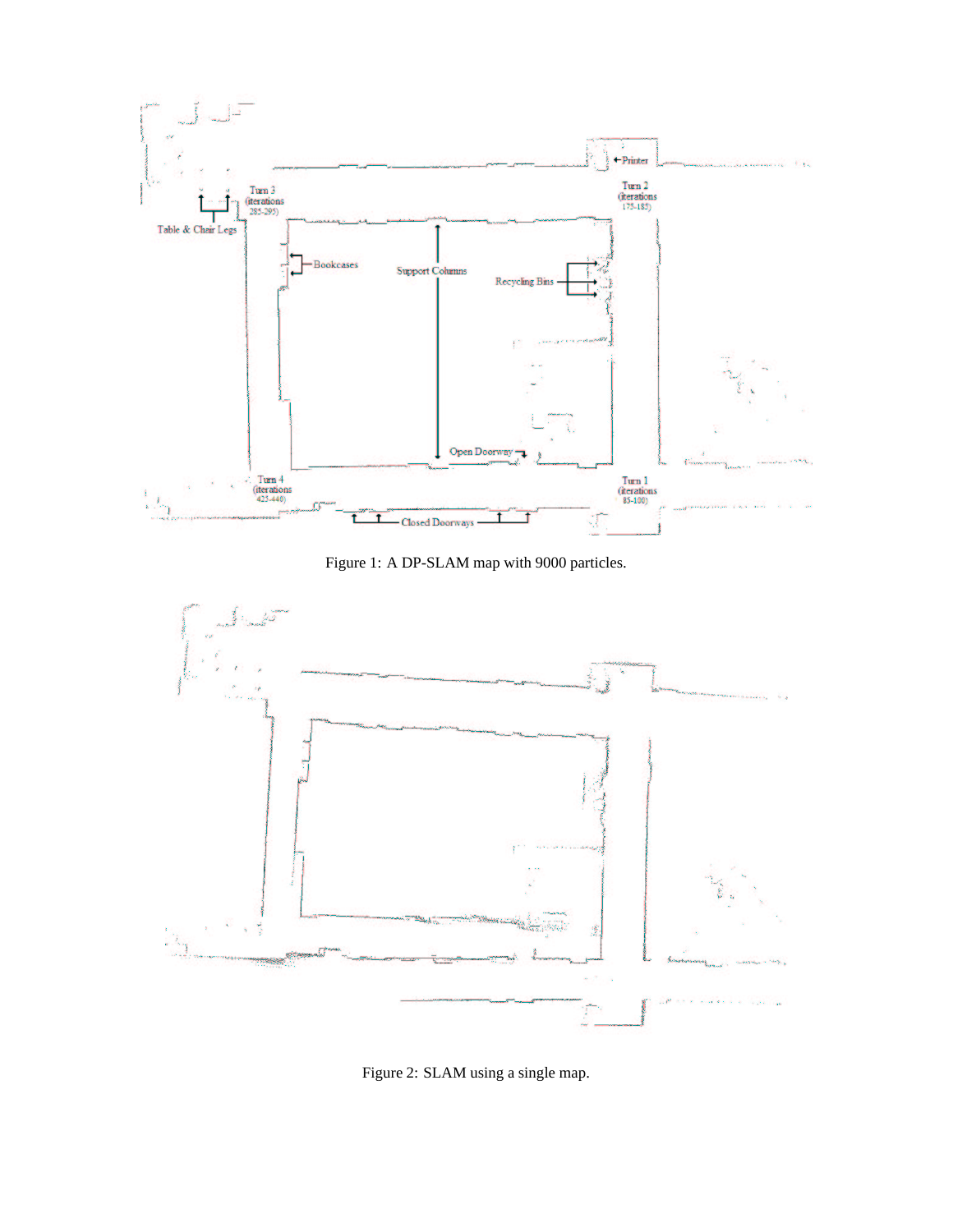

Figure 1: A DP-SLAM map with 9000 particles.



Figure 2: SLAM using a single map.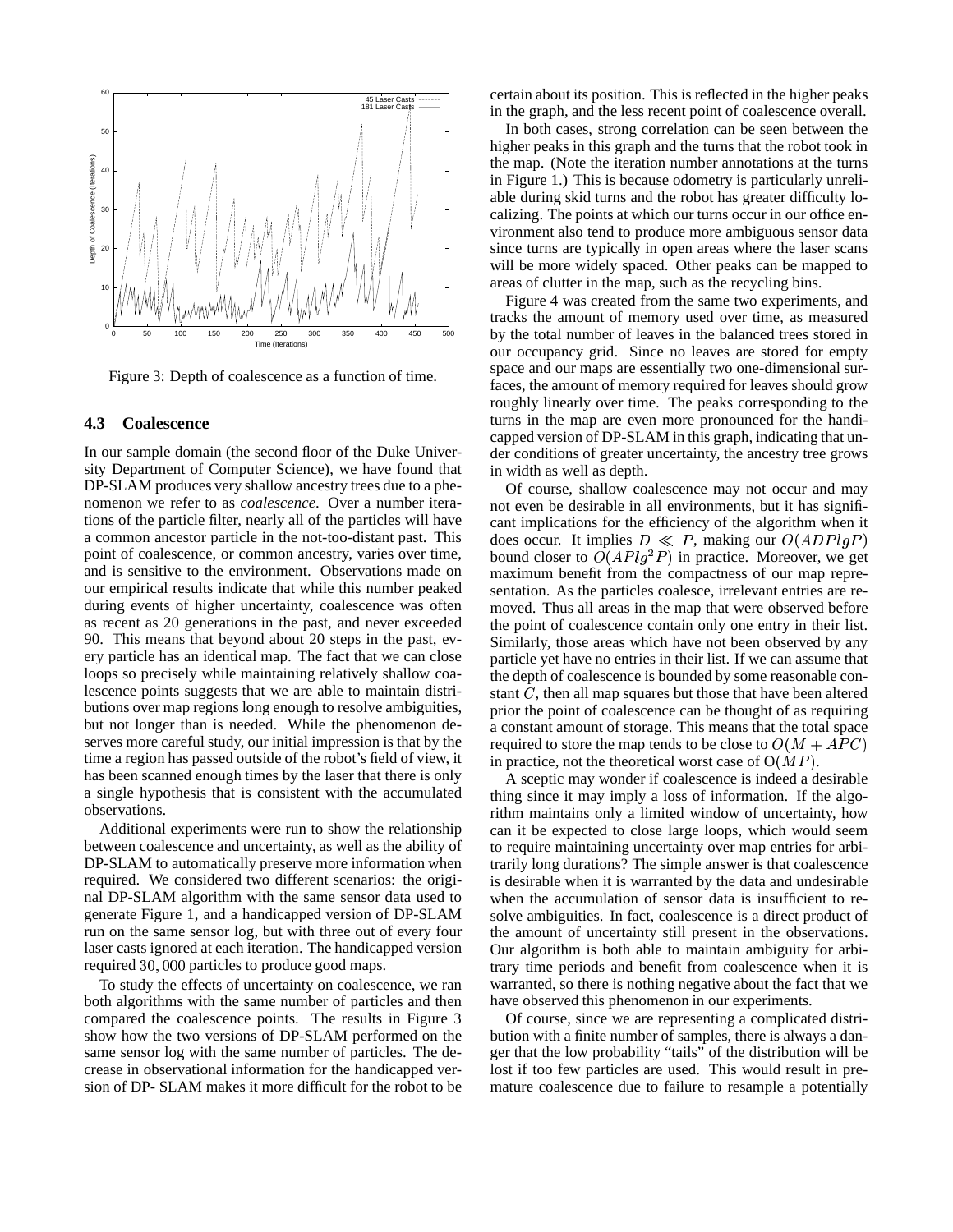

Figure 3: Depth of coalescence as a function of time.

#### **4.3 Coalescence**

In our sample domain (the second floor of the Duke University Department of Computer Science), we have found that DP-SLAM produces very shallow ancestry trees due to a phenomenon we refer to as *coalescence*. Over a number iterations of the particle filter, nearly all of the particles will have a common ancestor particle in the not-too-distant past. This point of coalescence, or common ancestry, varies over time, and is sensitive to the environment. Observations made on our empirical results indicate that while this number peaked during events of higher uncertainty, coalescence was often as recent as 20 generations in the past, and never exceeded 90. This means that beyond about 20 steps in the past, every particle has an identical map. The fact that we can close loops so precisely while maintaining relatively shallow coalescence points suggests that we are able to maintain distributions over map regions long enough to resolve ambiguities, but not longer than is needed. While the phenomenon deserves more careful study, our initial impression is that by the time a region has passed outside of the robot's field of view, it has been scanned enough times by the laser that there is only a single hypothesis that is consistent with the accumulated observations.

Additional experiments were run to show the relationship between coalescence and uncertainty, as well as the ability of DP-SLAM to automatically preserve more information when required. We considered two different scenarios: the original DP-SLAM algorithm with the same sensor data used to generate Figure 1, and a handicapped version of DP-SLAM run on the same sensor log, but with three out of every four laser casts ignored at each iteration. The handicapped version required 30,000 particles to produce good maps.

To study the effects of uncertainty on coalescence, we ran both algorithms with the same number of particles and then compared the coalescence points. The results in Figure 3 show how the two versions of DP-SLAM performed on the same sensor log with the same number of particles. The decrease in observational information for the handicapped version of DP- SLAM makes it more difficult for the robot to be certain about its position. This is reflected in the higher peaks in the graph, and the less recent point of coalescence overall.

In both cases, strong correlation can be seen between the higher peaks in this graph and the turns that the robot took in the map. (Note the iteration number annotations at the turns in Figure 1.) This is because odometry is particularly unreliable during skid turns and the robot has greater difficulty localizing. The points at which our turns occur in our office environment also tend to produce more ambiguous sensor data since turns are typically in open areas where the laser scans will be more widely spaced. Other peaks can be mapped to areas of clutter in the map, such as the recycling bins.

Figure 4 was created from the same two experiments, and tracks the amount of memory used over time, as measured by the total number of leaves in the balanced trees stored in our occupancy grid. Since no leaves are stored for empty space and our maps are essentially two one-dimensional surfaces, the amount of memory required for leaves should grow roughly linearly over time. The peaks corresponding to the turns in the map are even more pronounced for the handicapped version of DP-SLAM in this graph, indicating that under conditions of greater uncertainty, the ancestry tree grows in width as well as depth.

Of course, shallow coalescence may not occur and may not even be desirable in all environments, but it has significant implications for the efficiency of the algorithm when it does occur. It implies  $D \ll P$ , making our  $O(ADPIgP)$ bound closer to  $O(APlg^2P)$  in practice. Moreover, we get maximum benefit from the compactness of our map representation. As the particles coalesce, irrelevant entries are removed. Thus all areas in the map that were observed before the point of coalescence contain only one entry in their list. Similarly, those areas which have not been observed by any particle yet have no entries in their list. If we can assume that the depth of coalescence is bounded by some reasonable constant  $C$ , then all map squares but those that have been altered prior the point of coalescence can be thought of as requiring a constant amount of storage. This means that the total space required to store the map tends to be close to  $O(M + APC)$ in practice, not the theoretical worst case of  $O(MP)$ .

A sceptic may wonder if coalescence is indeed a desirable thing since it may imply a loss of information. If the algorithm maintains only a limited window of uncertainty, how can it be expected to close large loops, which would seem to require maintaining uncertainty over map entries for arbitrarily long durations? The simple answer is that coalescence is desirable when it is warranted by the data and undesirable when the accumulation of sensor data is insufficient to resolve ambiguities. In fact, coalescence is a direct product of the amount of uncertainty still present in the observations. Our algorithm is both able to maintain ambiguity for arbitrary time periods and benefit from coalescence when it is warranted, so there is nothing negative about the fact that we have observed this phenomenon in our experiments.

Of course, since we are representing a complicated distribution with a finite number of samples, there is always a danger that the low probability "tails" of the distribution will be lost if too few particles are used. This would result in premature coalescence due to failure to resample a potentially